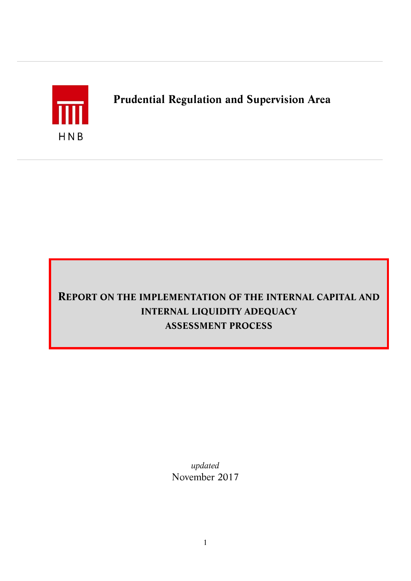

# *Prudential Regulation and Supervision Area*

# *REPORT ON THE IMPLEMENTATION OF THE INTERNAL CAPITAL AND INTERNAL LIQUIDITY ADEQUACY ASSESSMENT PROCESS*

*updated November 2017*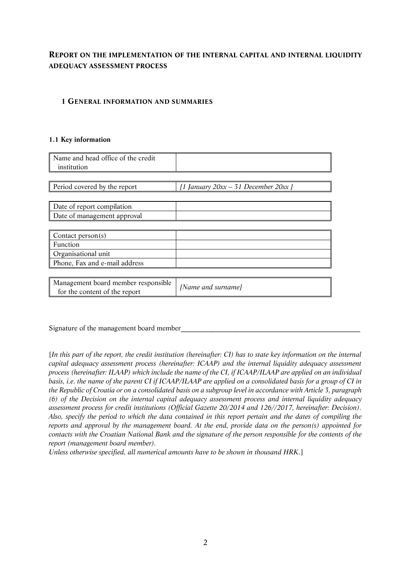# *REPORT ON THE IMPLEMENTATION OF THE INTERNAL CAPITAL AND INTERNAL LIQUIDITY ADEQUACY ASSESSMENT PROCESS*

#### *1 GENERAL INFORMATION AND SUMMARIES*

#### *1.1 Key information*

| Name and head office of the credit<br>institution                    |                                          |
|----------------------------------------------------------------------|------------------------------------------|
|                                                                      |                                          |
| Period covered by the report                                         | [1 January $20xx - 31$ December $20xx$ ] |
|                                                                      |                                          |
| Date of report compilation                                           |                                          |
| Date of management approval                                          |                                          |
|                                                                      |                                          |
| Contact person(s)                                                    |                                          |
| Function                                                             |                                          |
| Organisational unit                                                  |                                          |
| Phone, Fax and e-mail address                                        |                                          |
|                                                                      |                                          |
| Management board member responsible<br>for the content of the report | [Name and surname]                       |

Signature of the management board member

*[In this part of the report, the credit institution (hereinafter: CI) has to state key information on the internal capital adequacy assessment process (hereinafter: ICAAP) and the internal liquidity adequacy assessment process (hereinafter: ILAAP) which include the name of the CI, if ICAAP/ILAAP are applied on an individual basis, i.e. the name of the parent CI if ICAAP/ILAAP are applied on a consolidated basis for a group of CI in the Republic of Croatia or on a consolidated basis on a subgroup level in accordance with Article 3, paragraph (6) of the Decision on the internal capital adequacy assessment process and internal liquidity adequacy assessment process for credit institutions (Official Gazette 20/2014 and 126//2017, hereinafter: Decision). Also, specify the period to which the data contained in this report pertain and the dates of compiling the reports and approval by the management board. At the end, provide data on the person(s) appointed for contacts with the Croatian National Bank and the signature of the person responsible for the contents of the report (management board member).* 

*Unless otherwise specified, all numerical amounts have to be shown in thousand HRK.]*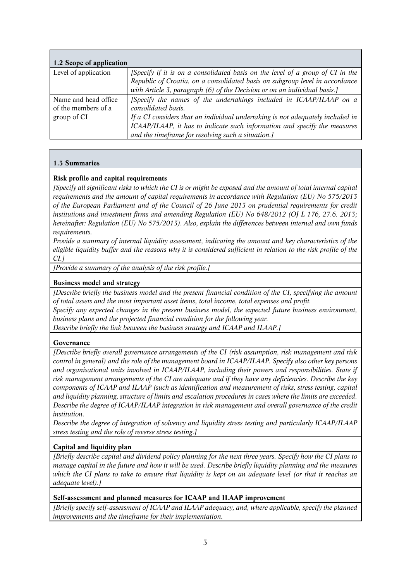| 1.2 Scope of application |                                                                                |
|--------------------------|--------------------------------------------------------------------------------|
| Level of application     | [Specify if it is on a consolidated basis on the level of a group of CI in the |
|                          | Republic of Croatia, on a consolidated basis on subgroup level in accordance   |
|                          | with Article 3, paragraph (6) of the Decision or on an individual basis.]      |
| Name and head office     | [Specify the names of the undertakings included in ICAAP/ILAAP on a            |
| of the members of a      | consolidated basis.                                                            |
| group of CI              | If a CI considers that an individual undertaking is not adequately included in |
|                          | ICAAP/ILAAP, it has to indicate such information and specify the measures      |
|                          | and the timeframe for resolving such a situation.]                             |

## *1.3 Summaries*

#### *Risk profile and capital requirements*

*[Specify all significant risks to which the CI is or might be exposed and the amount of total internal capital requirements and the amount of capital requirements in accordance with Regulation (EU) No 575/2013 of the European Parliament and of the Council of 26 June 2013 on prudential requirements for credit institutions and investment firms and amending Regulation (EU) No 648/2012 (OJ L 176, 27.6. 2013; hereinafter: Regulation (EU) No 575/2013). Also, explain the differences between internal and own funds requirements.*

*Provide a summary of internal liquidity assessment, indicating the amount and key characteristics of the eligible liquidity buffer and the reasons why it is considered sufficient in relation to the risk profile of the CI.]*

*[Provide a summary of the analysis of the risk profile.]*

#### *Business model and strategy*

*[Describe briefly the business model and the present financial condition of the CI, specifying the amount of total assets and the most important asset items, total income, total expenses and profit.*

*Specify any expected changes in the present business model, the expected future business environment, business plans and the projected financial condition for the following year.* 

*Describe briefly the link between the business strategy and ICAAP and ILAAP.]*

#### *Governance*

*[Describe briefly overall governance arrangements of the CI (risk assumption, risk management and risk control in general) and the role of the management board in ICAAP/ILAAP. Specify also other key persons and organisational units involved in ICAAP/ILAAP, including their powers and responsibilities. State if risk management arrangements of the CI are adequate and if they have any deficiencies. Describe the key components of ICAAP and ILAAP (such as identification and measurement of risks, stress testing, capital and liquidity planning, structure of limits and escalation procedures in cases where the limits are exceeded. Describe the degree of ICAAP/ILAAP integration in risk management and overall governance of the credit institution.*

*Describe the degree of integration of solvency and liquidity stress testing and particularly ICAAP/ILAAP stress testing and the role of reverse stress testing.]* 

#### *Capital and liquidity plan*

*[Briefly describe capital and dividend policy planning for the next three years. Specify how the CI plans to manage capital in the future and how it will be used. Describe briefly liquidity planning and the measures which the CI plans to take to ensure that liquidity is kept on an adequate level (or that it reaches an adequate level).]*

#### *Self-assessment and planned measures for ICAAP and ILAAP improvement*

*[Briefly specify self-assessment of ICAAP and ILAAP adequacy, and, where applicable, specify the planned improvements and the timeframe for their implementation.*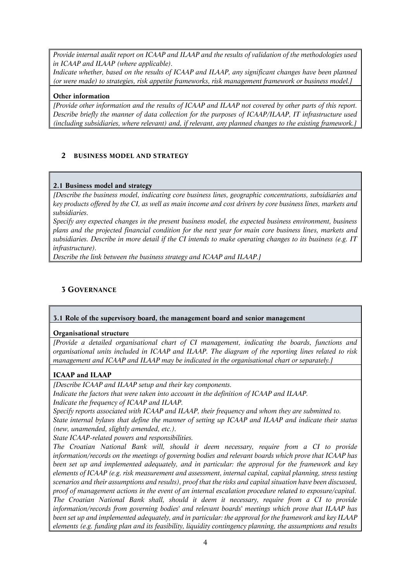*Provide internal audit report on ICAAP and ILAAP and the results of validation of the methodologies used in ICAAP and ILAAP (where applicable).*

*Indicate whether, based on the results of ICAAP and ILAAP, any significant changes have been planned (or were made) to strategies, risk appetite frameworks, risk management framework or business model.]*

#### *Other information*

*[Provide other information and the results of ICAAP and ILAAP not covered by other parts of this report. Describe briefly the manner of data collection for the purposes of ICAAP/ILAAP, IT infrastructure used (including subsidiaries, where relevant) and, if relevant, any planned changes to the existing framework.]*

## *2 BUSINESS MODEL AND STRATEGY*

## *2.1 Business model and strategy*

*[Describe the business model, indicating core business lines, geographic concentrations, subsidiaries and key products offered by the CI, as well as main income and cost drivers by core business lines, markets and subsidiaries.* 

*Specify any expected changes in the present business model, the expected business environment, business plans and the projected financial condition for the next year for main core business lines, markets and subsidiaries. Describe in more detail if the CI intends to make operating changes to its business (e.g. IT infrastructure).* 

*Describe the link between the business strategy and ICAAP and ILAAP.]*

# *3 GOVERNANCE*

## *3.1 Role of the supervisory board, the management board and senior management*

#### *Organisational structure*

*[Provide a detailed organisational chart of CI management, indicating the boards, functions and organisational units included in ICAAP and ILAAP. The diagram of the reporting lines related to risk management and ICAAP and ILAAP may be indicated in the organisational chart or separately.]*

## *ICAAP and ILAAP*

*[Describe ICAAP and ILAAP setup and their key components.*

*Indicate the factors that were taken into account in the definition of ICAAP and ILAAP.*

*Indicate the frequency of ICAAP and ILAAP.*

*Specify reports associated with ICAAP and ILAAP, their frequency and whom they are submitted to.*

*State internal bylaws that define the manner of setting up ICAAP and ILAAP and indicate their status (new, unamended, slightly amended, etc.).*

*State ICAAP-related powers and responsibilities.*

*The Croatian National Bank will, should it deem necessary, require from a CI to provide information/records on the meetings of governing bodies and relevant boards which prove that ICAAP has been set up and implemented adequately, and in particular: the approval for the framework and key elements of ICAAP (e.g. risk measurement and assessment, internal capital, capital planning, stress testing scenarios and their assumptions and results), proof that the risks and capital situation have been discussed, proof of management actions in the event of an internal escalation procedure related to exposure/capital. The Croatian National Bank shall, should it deem it necessary, require from a CI to provide information/records from governing bodies' and relevant boards' meetings which prove that ILAAP has been set up and implemented adequately, and in particular: the approval for the framework and key ILAAP elements (e.g. funding plan and its feasibility, liquidity contingency planning, the assumptions and results*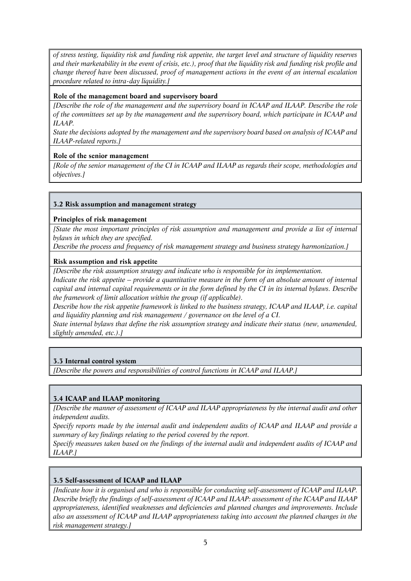*of stress testing, liquidity risk and funding risk appetite, the target level and structure of liquidity reserves and their marketability in the event of crisis, etc.), proof that the liquidity risk and funding risk profile and change thereof have been discussed, proof of management actions in the event of an internal escalation procedure related to intra-day liquidity.]*

### *Role of the management board and supervisory board*

*[Describe the role of the management and the supervisory board in ICAAP and ILAAP. Describe the role of the committees set up by the management and the supervisory board, which participate in ICAAP and ILAAP.*

*State the decisions adopted by the management and the supervisory board based on analysis of ICAAP and ILAAP-related reports.]*

#### *Role of the senior management*

*[Role of the senior management of the CI in ICAAP and ILAAP as regards their scope, methodologies and objectives.]*

#### *3.2 Risk assumption and management strategy*

#### *Principles of risk management*

*[State the most important principles of risk assumption and management and provide a list of internal bylaws in which they are specified.*

*Describe the process and frequency of risk management strategy and business strategy harmonization.]*

#### *Risk assumption and risk appetite*

*[Describe the risk assumption strategy and indicate who is responsible for its implementation.*

*Indicate the risk appetite – provide a quantitative measure in the form of an absolute amount of internal capital and internal capital requirements or in the form defined by the CI in its internal bylaws. Describe the framework of limit allocation within the group (if applicable).*

*Describe how the risk appetite framework is linked to the business strategy, ICAAP and ILAAP, i.e. capital and liquidity planning and risk management / governance on the level of a CI.*

*State internal bylaws that define the risk assumption strategy and indicate their status (new, unamended, slightly amended, etc.).]*

## *3.3 Internal control system*

*[Describe the powers and responsibilities of control functions in ICAAP and ILAAP.]*

## *3.4 ICAAP and ILAAP monitoring*

*[Describe the manner of assessment of ICAAP and ILAAP appropriateness by the internal audit and other independent audits.*

*Specify reports made by the internal audit and independent audits of ICAAP and ILAAP and provide a summary of key findings relating to the period covered by the report.*

*Specify measures taken based on the findings of the internal audit and independent audits of ICAAP and ILAAP.]*

## *3.5 Self-assessment of ICAAP and ILAAP*

*[Indicate how it is organised and who is responsible for conducting self-assessment of ICAAP and ILAAP. Describe briefly the findings of self-assessment of ICAAP and ILAAP: assessment of the ICAAP and ILAAP appropriateness, identified weaknesses and deficiencies and planned changes and improvements. Include also an assessment of ICAAP and ILAAP appropriateness taking into account the planned changes in the risk management strategy.]*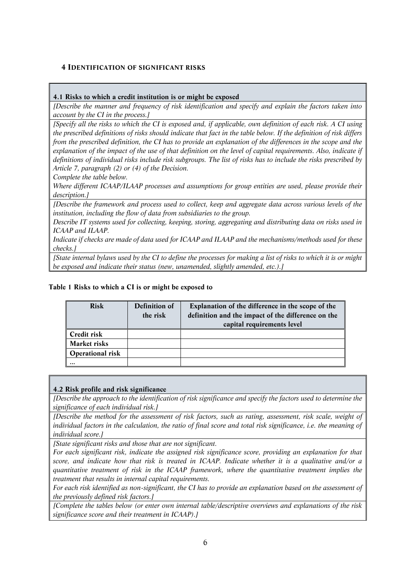## *4 IDENTIFICATION OF SIGNIFICANT RISKS*

#### *4.1 Risks to which a credit institution is or might be exposed*

*[Describe the manner and frequency of risk identification and specify and explain the factors taken into account by the CI in the process.]*

*[Specify all the risks to which the CI is exposed and, if applicable, own definition of each risk. A CI using the prescribed definitions of risks should indicate that fact in the table below. If the definition of risk differs from the prescribed definition, the CI has to provide an explanation of the differences in the scope and the explanation of the impact of the use of that definition on the level of capital requirements. Also, indicate if definitions of individual risks include risk subgroups. The list of risks has to include the risks prescribed by Article 7, paragraph (2) or (4) of the Decision.*

*Complete the table below.* 

*Where different ICAAP/ILAAP processes and assumptions for group entities are used, please provide their description.]*

*[Describe the framework and process used to collect, keep and aggregate data across various levels of the institution, including the flow of data from subsidiaries to the group.*

*Describe IT systems used for collecting, keeping, storing, aggregating and distributing data on risks used in ICAAP and ILAAP.*

*Indicate if checks are made of data used for ICAAP and ILAAP and the mechanisms/methods used for these checks.]*

*[State internal bylaws used by the CI to define the processes for making a list of risks to which it is or might be exposed and indicate their status (new, unamended, slightly amended, etc.).]*

#### *Table 1 Risks to which a CI is or might be exposed to*

| <b>Risk</b>             | Definition of | Explanation of the difference in the scope of the  |
|-------------------------|---------------|----------------------------------------------------|
|                         | the risk      | definition and the impact of the difference on the |
|                         |               | capital requirements level                         |
| Credit risk             |               |                                                    |
| Market risks            |               |                                                    |
| <b>Operational risk</b> |               |                                                    |
|                         |               |                                                    |

## *4.2 Risk profile and risk significance*

*[Describe the approach to the identification of risk significance and specify the factors used to determine the significance of each individual risk.]*

*[Describe the method for the assessment of risk factors, such as rating, assessment, risk scale, weight of individual factors in the calculation, the ratio of final score and total risk significance, i.e. the meaning of individual score.]*

*[State significant risks and those that are not significant.*

*For each significant risk, indicate the assigned risk significance score, providing an explanation for that score, and indicate how that risk is treated in ICAAP. Indicate whether it is a qualitative and/or a quantitative treatment of risk in the ICAAP framework, where the quantitative treatment implies the treatment that results in internal capital requirements.*

*For each risk identified as non-significant, the CI has to provide an explanation based on the assessment of the previously defined risk factors.]*

*[Complete the tables below (or enter own internal table/descriptive overviews and explanations of the risk significance score and their treatment in ICAAP).]*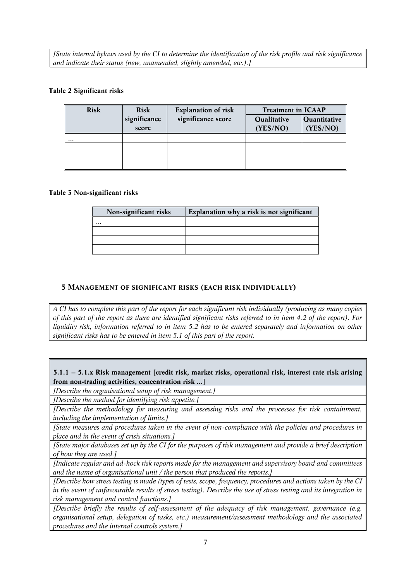*[State internal bylaws used by the CI to determine the identification of the risk profile and risk significance and indicate their status (new, unamended, slightly amended, etc.).]*

#### *Table 2 Significant risks*

| <b>Risk</b> | <b>Risk</b>  | <b>Explanation of risk</b> | <b>Treatment in ICAAP</b>   |          |  |
|-------------|--------------|----------------------------|-----------------------------|----------|--|
|             | significance | significance score         | Qualitative<br>Quantitative |          |  |
|             | score        |                            | (YES/NO)                    | (YES/NO) |  |
| $\cdots$    |              |                            |                             |          |  |
|             |              |                            |                             |          |  |
|             |              |                            |                             |          |  |
|             |              |                            |                             |          |  |

#### *Table 3 Non-significant risks*

| Non-significant risks | Explanation why a risk is not significant |
|-----------------------|-------------------------------------------|
| $\ddotsc$             |                                           |
|                       |                                           |
|                       |                                           |
|                       |                                           |

## *5 MANAGEMENT OF SIGNIFICANT RISKS (EACH RISK INDIVIDUALLY)*

*A CI has to complete this part of the report for each significant risk individually (producing as many copies of this part of the report as there are identified significant risks referred to in item 4.2 of the report). For liquidity risk, information referred to in item 5.2 has to be entered separately and information on other significant risks has to be entered in item 5.1 of this part of the report.*

*5.1.1 – 5.1.x Risk management [credit risk, market risks, operational risk, interest rate risk arising from non-trading activities, concentration risk ...]*

*[Describe the organisational setup of risk management.]*

*[Describe the method for identifying risk appetite.]*

*[Describe the methodology for measuring and assessing risks and the processes for risk containment, including the implementation of limits.]* 

*[State measures and procedures taken in the event of non-compliance with the policies and procedures in place and in the event of crisis situations.]*

*[State major databases set up by the CI for the purposes of risk management and provide a brief description of how they are used.]*

*[Indicate regular and ad-hock risk reports made for the management and supervisory board and committees and the name of organisational unit / the person that produced the reports.]*

*[Describe how stress testing is made (types of tests, scope, frequency, procedures and actions taken by the CI in the event of unfavourable results of stress testing). Describe the use of stress testing and its integration in risk management and control functions.]* 

*[Describe briefly the results of self-assessment of the adequacy of risk management, governance (e.g. organisational setup, delegation of tasks, etc.) measurement/assessment methodology and the associated procedures and the internal controls system.]*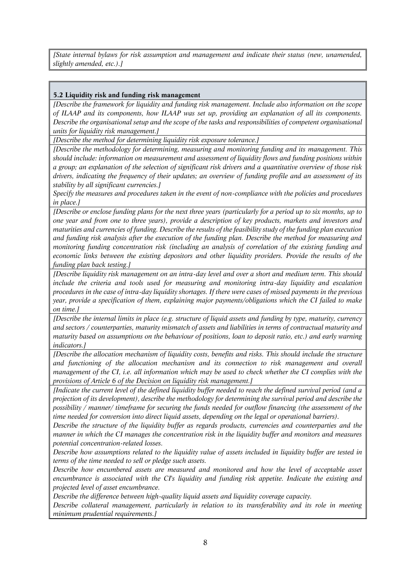*[State internal bylaws for risk assumption and management and indicate their status (new, unamended, slightly amended, etc.).]*

#### *5.2 Liquidity risk and funding risk management*

*[Describe the framework for liquidity and funding risk management. Include also information on the scope of ILAAP and its components, how ILAAP was set up, providing an explanation of all its components. Describe the organisational setup and the scope of the tasks and responsibilities of competent organisational units for liquidity risk management.]* 

*[Describe the method for determining liquidity risk exposure tolerance.]*

*[Describe the methodology for determining, measuring and monitoring funding and its management. This should include: information on measurement and assessment of liquidity flows and funding positions within a group; an explanation of the selection of significant risk drivers and a quantitative overview of those risk drivers, indicating the frequency of their updates; an overview of funding profile and an assessment of its stability by all significant currencies.]*

*Specify the measures and procedures taken in the event of non-compliance with the policies and procedures in place.]*

*[Describe or enclose funding plans for the next three years (particularly for a period up to six months, up to one year and from one to three years), provide a description of key products, markets and investors and maturities and currencies of funding. Describe the results of the feasibility study of the funding plan execution and funding risk analysis after the execution of the funding plan. Describe the method for measuring and monitoring funding concentration risk (including an analysis of correlation of the existing funding and economic links between the existing depositors and other liquidity providers. Provide the results of the funding plan back testing.]*

*[Describe liquidity risk management on an intra-day level and over a short and medium term. This should include the criteria and tools used for measuring and monitoring intra-day liquidity and escalation procedures in the case of intra-day liquidity shortages. If there were cases of missed payments in the previous year, provide a specification of them, explaining major payments/obligations which the CI failed to make on time.]*

*[Describe the internal limits in place (e.g. structure of liquid assets and funding by type, maturity, currency and sectors / counterparties, maturity mismatch of assets and liabilities in terms of contractual maturity and maturity based on assumptions on the behaviour of positions, loan to deposit ratio, etc.) and early warning indicators.]*

*[Describe the allocation mechanism of liquidity costs, benefits and risks. This should include the structure and functioning of the allocation mechanism and its connection to risk management and overall management of the CI, i.e. all information which may be used to check whether the CI complies with the provisions of Article 6 of the Decision on liquidity risk management.]*

*[Indicate the current level of the defined liquidity buffer needed to reach the defined survival period (and a projection of its development), describe the methodology for determining the survival period and describe the possibility / manner/ timeframe for securing the funds needed for outflow financing (the assessment of the time needed for conversion into direct liquid assets, depending on the legal or operational barriers).* 

*Describe the structure of the liquidity buffer as regards products, currencies and counterparties and the manner in which the CI manages the concentration risk in the liquidity buffer and monitors and measures potential concentration-related losses.* 

*Describe how assumptions related to the liquidity value of assets included in liquidity buffer are tested in terms of the time needed to sell or pledge such assets.*

*Describe how encumbered assets are measured and monitored and how the level of acceptable asset encumbrance is associated with the CI's liquidity and funding risk appetite. Indicate the existing and projected level of asset encumbrance.*

*Describe the difference between high-quality liquid assets and liquidity coverage capacity.* 

*Describe collateral management, particularly in relation to its transferability and its role in meeting minimum prudential requirements.]*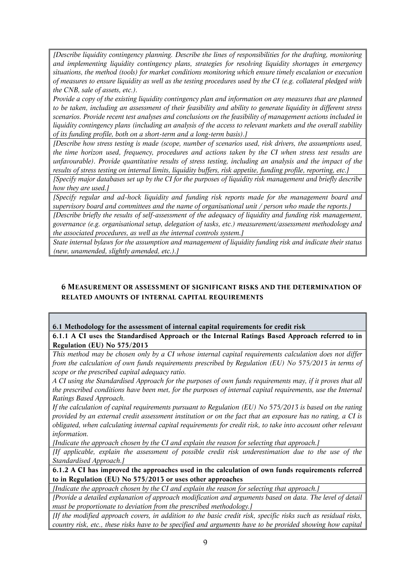*[Describe liquidity contingency planning. Describe the lines of responsibilities for the drafting, monitoring and implementing liquidity contingency plans, strategies for resolving liquidity shortages in emergency situations, the method (tools) for market conditions monitoring which ensure timely escalation or execution of measures to ensure liquidity as well as the testing procedures used by the CI (e.g. collateral pledged with the CNB, sale of assets, etc.).* 

*Provide a copy of the existing liquidity contingency plan and information on any measures that are planned to be taken, including an assessment of their feasibility and ability to generate liquidity in different stress scenarios. Provide recent test analyses and conclusions on the feasibility of management actions included in liquidity contingency plans (including an analysis of the access to relevant markets and the overall stability of its funding profile, both on a short-term and a long-term basis).]*

*[Describe how stress testing is made (scope, number of scenarios used, risk drivers, the assumptions used, the time horizon used, frequency, procedures and actions taken by the CI when stress test results are unfavourable). Provide quantitative results of stress testing, including an analysis and the impact of the results of stress testing on internal limits, liquidity buffers, risk appetite, funding profile, reporting, etc.]*

*[Specify major databases set up by the CI for the purposes of liquidity risk management and briefly describe how they are used.]*

*[Specify regular and ad-hock liquidity and funding risk reports made for the management board and supervisory board and committees and the name of organisational unit / person who made the reports.]*

*[Describe briefly the results of self-assessment of the adequacy of liquidity and funding risk management, governance (e.g. organisational setup, delegation of tasks, etc.) measurement/assessment methodology and the associated procedures, as well as the internal controls system.]*

*State internal bylaws for the assumption and management of liquidity funding risk and indicate their status (new, unamended, slightly amended, etc.).]*

## *6 MEASUREMENT OR ASSESSMENT OF SIGNIFICANT RISKS AND THE DETERMINATION OF RELATED AMOUNTS OF INTERNAL CAPITAL REQUIREMENTS*

## *6.1 Methodology for the assessment of internal capital requirements for credit risk*

*6.1.1 A CI uses the Standardised Approach or the Internal Ratings Based Approach referred to in Regulation (EU) No 575/2013*

*This method may be chosen only by a CI whose internal capital requirements calculation does not differ from the calculation of own funds requirements prescribed by Regulation (EU) No 575/2013 in terms of scope or the prescribed capital adequacy ratio.*

*A CI using the Standardised Approach for the purposes of own funds requirements may, if it proves that all the prescribed conditions have been met, for the purposes of internal capital requirements, use the Internal Ratings Based Approach.* 

*If the calculation of capital requirements pursuant to Regulation (EU) No 575/2013 is based on the rating provided by an external credit assessment institution or on the fact that an exposure has no rating, a CI is obligated, when calculating internal capital requirements for credit risk, to take into account other relevant information.*

*[Indicate the approach chosen by the CI and explain the reason for selecting that approach.]*

*[If applicable, explain the assessment of possible credit risk underestimation due to the use of the Standardised Approach.]*

*6.1.2 A CI has improved the approaches used in the calculation of own funds requirements referred to in Regulation (EU) No 575/2013 or uses other approaches*

*[Indicate the approach chosen by the CI and explain the reason for selecting that approach.]* 

*[Provide a detailed explanation of approach modification and arguments based on data. The level of detail must be proportionate to deviation from the prescribed methodology.]*

*[If the modified approach covers, in addition to the basic credit risk, specific risks such as residual risks, country risk, etc., these risks have to be specified and arguments have to be provided showing how capital*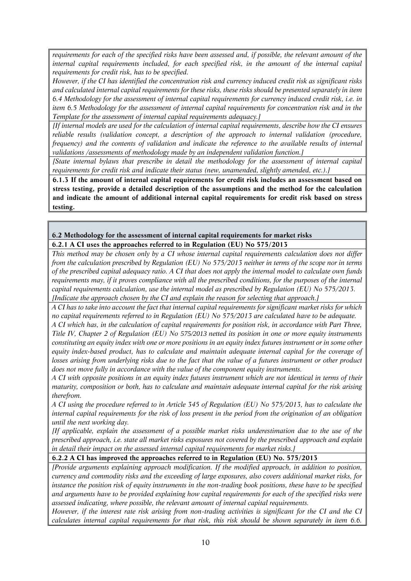*requirements for each of the specified risks have been assessed and, if possible, the relevant amount of the internal capital requirements included, for each specified risk, in the amount of the internal capital requirements for credit risk, has to be specified.* 

*However, if the CI has identified the concentration risk and currency induced credit risk as significant risks and calculated internal capital requirements for these risks, these risks should be presented separately in item 6.4 Methodology for the assessment of internal capital requirements for currency induced credit risk, i.e. in item 6.5 Methodology for the assessment of internal capital requirements for concentration risk and in the Template for the assessment of internal capital requirements adequacy.]* 

*[If internal models are used for the calculation of internal capital requirements, describe how the CI ensures reliable results (validation concept, a description of the approach to internal validation (procedure, frequency) and the contents of validation and indicate the reference to the available results of internal validations /assessments of methodology made by an independent validation function.]*

*[State internal bylaws that prescribe in detail the methodology for the assessment of internal capital requirements for credit risk and indicate their status (new, unamended, slightly amended, etc.).]*

*6.1.3 If the amount of internal capital requirements for credit risk includes an assessment based on stress testing, provide a detailed description of the assumptions and the method for the calculation and indicate the amount of additional internal capital requirements for credit risk based on stress testing.* 

#### *6.2 Methodology for the assessment of internal capital requirements for market risks 6.2.1 A CI uses the approaches referred to in Regulation (EU) No 575/2013*

*This method may be chosen only by a CI whose internal capital requirements calculation does not differ from the calculation prescribed by Regulation (EU) No 575/2013 neither in terms of the scope nor in terms of the prescribed capital adequacy ratio. A CI that does not apply the internal model to calculate own funds requirements may, if it proves compliance with all the prescribed conditions, for the purposes of the internal capital requirements calculation, use the internal model as prescribed by Regulation (EU) No 575/2013. [Indicate the approach chosen by the CI and explain the reason for selecting that approach.]*

*A CI has to take into account the fact that internal capital requirements for significant market risks for which no capital requirements referred to in Regulation (EU) No 575/2013 are calculated have to be adequate.* 

*A CI which has, in the calculation of capital requirements for position risk, in accordance with Part Three, Title IV, Chapter 2 of Regulation (EU) No 575/2013 netted its position in one or more equity instruments constituting an equity index with one or more positions in an equity index futures instrument or in some other equity index-based product, has to calculate and maintain adequate internal capital for the coverage of losses arising from underlying risks due to the fact that the value of a futures instrument or other product does not move fully in accordance with the value of the component equity instruments.* 

*A CI with opposite positions in an equity index futures instrument which are not identical in terms of their maturity, composition or both, has to calculate and maintain adequate internal capital for the risk arising therefrom.*

*A CI using the procedure referred to in Article 345 of Regulation (EU) No 575/2013, has to calculate the internal capital requirements for the risk of loss present in the period from the origination of an obligation until the next working day.* 

*[If applicable, explain the assessment of a possible market risks underestimation due to the use of the prescribed approach, i.e. state all market risks exposures not covered by the prescribed approach and explain in detail their impact on the assessed internal capital requirements for market risks.]* 

#### *6.2.2 A CI has improved the approaches referred to in Regulation (EU) No. 575/2013*

*[Provide arguments explaining approach modification. If the modified approach, in addition to position, currency and commodity risks and the exceeding of large exposures, also covers additional market risks, for instance the position risk of equity instruments in the non-trading book positions, these have to be specified and arguments have to be provided explaining how capital requirements for each of the specified risks were assessed indicating, where possible, the relevant amount of internal capital requirements.*

*However, if the interest rate risk arising from non-trading activities is significant for the CI and the CI calculates internal capital requirements for that risk, this risk should be shown separately in item 6.6.*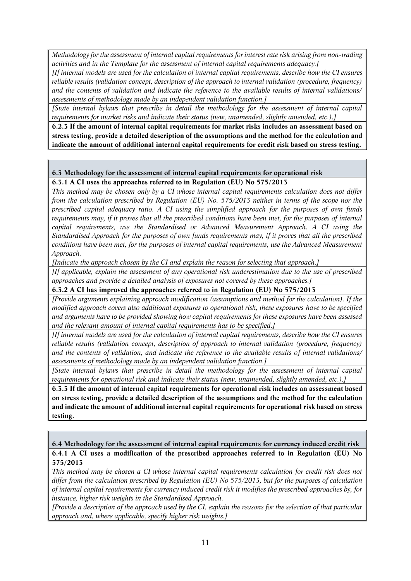*Methodology for the assessment of internal capital requirements for interest rate risk arising from non-trading activities and in the Template for the assessment of internal capital requirements adequacy.]*

*[If internal models are used for the calculation of internal capital requirements, describe how the CI ensures reliable results (validation concept, description of the approach to internal validation (procedure, frequency) and the contents of validation and indicate the reference to the available results of internal validations/ assessments of methodology made by an independent validation function.]*

*[State internal bylaws that prescribe in detail the methodology for the assessment of internal capital requirements for market risks and indicate their status (new, unamended, slightly amended, etc.).]*

*6.2.3 If the amount of internal capital requirements for market risks includes an assessment based on stress testing, provide a detailed description of the assumptions and the method for the calculation and indicate the amount of additional internal capital requirements for credit risk based on stress testing.*

#### *6.3 Methodology for the assessment of internal capital requirements for operational risk 6.3.1 A CI uses the approaches referred to in Regulation (EU) No 575/2013*

*This method may be chosen only by a CI whose internal capital requirements calculation does not differ from the calculation prescribed by Regulation (EU) No. 575/2013 neither in terms of the scope nor the prescribed capital adequacy ratio. A CI using the simplified approach for the purposes of own funds requirements may, if it proves that all the prescribed conditions have been met, for the purposes of internal capital requirements, use the Standardised or Advanced Measurement Approach. A CI using the Standardised Approach for the purposes of own funds requirements may, if it proves that all the prescribed conditions have been met, for the purposes of internal capital requirements, use the Advanced Measurement Approach.*

*[Indicate the approach chosen by the CI and explain the reason for selecting that approach.]*

*[If applicable, explain the assessment of any operational risk underestimation due to the use of prescribed approaches and provide a detailed analysis of exposures not covered by these approaches.]*

#### *6.3.2 A CI has improved the approaches referred to in Regulation (EU) No 575/2013*

*[Provide arguments explaining approach modification (assumptions and method for the calculation). If the modified approach covers also additional exposures to operational risk, these exposures have to be specified and arguments have to be provided showing how capital requirements for these exposures have been assessed and the relevant amount of internal capital requirements has to be specified.]*

*[If internal models are used for the calculation of internal capital requirements, describe how the CI ensures reliable results (validation concept, description of approach to internal validation (procedure, frequency) and the contents of validation, and indicate the reference to the available results of internal validations/ assessments of methodology made by an independent validation function.]*

*[State internal bylaws that prescribe in detail the methodology for the assessment of internal capital requirements for operational risk and indicate their status (new, unamended, slightly amended, etc.).]*

*6.3.3 If the amount of internal capital requirements for operational risk includes an assessment based on stress testing, provide a detailed description of the assumptions and the method for the calculation and indicate the amount of additional internal capital requirements for operational risk based on stress testing.*

*6.4 Methodology for the assessment of internal capital requirements for currency induced credit risk 6.4.1 A CI uses a modification of the prescribed approaches referred to in Regulation (EU) No 575/2013* 

*This method may be chosen a CI whose internal capital requirements calculation for credit risk does not differ from the calculation prescribed by Regulation (EU) No 575/2013, but for the purposes of calculation of internal capital requirements for currency induced credit risk it modifies the prescribed approaches by, for instance, higher risk weights in the Standardised Approach.*

*[Provide a description of the approach used by the CI, explain the reasons for the selection of that particular approach and, where applicable, specify higher risk weights.]*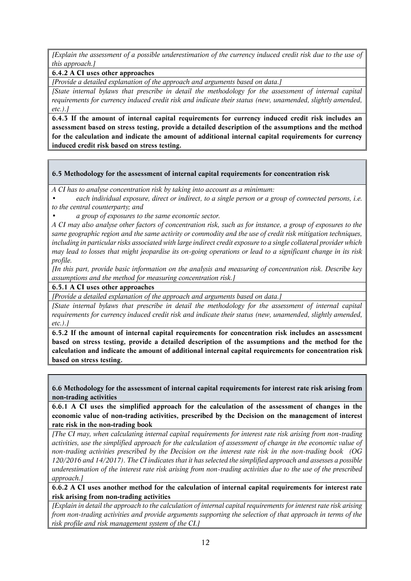*[Explain the assessment of a possible underestimation of the currency induced credit risk due to the use of this approach.]*

*6.4.2 A CI uses other approaches*

*[Provide a detailed explanation of the approach and arguments based on data.]* 

*[State internal bylaws that prescribe in detail the methodology for the assessment of internal capital requirements for currency induced credit risk and indicate their status (new, unamended, slightly amended, etc.).]*

*6.4.3 If the amount of internal capital requirements for currency induced credit risk includes an assessment based on stress testing, provide a detailed description of the assumptions and the method for the calculation and indicate the amount of additional internal capital requirements for currency induced credit risk based on stress testing.*

#### *6.5 Methodology for the assessment of internal capital requirements for concentration risk*

*A CI has to analyse concentration risk by taking into account as a minimum:*

*• each individual exposure, direct or indirect, to a single person or a group of connected persons, i.e. to the central counterparty; and*

*• a group of exposures to the same economic sector.*

*A CI may also analyse other factors of concentration risk, such as for instance, a group of exposures to the same geographic region and the same activity or commodity and the use of credit risk mitigation techniques, including in particular risks associated with large indirect credit exposure to a single collateral provider which may lead to losses that might jeopardise its on-going operations or lead to a significant change in its risk profile.*

*[In this part, provide basic information on the analysis and measuring of concentration risk. Describe key assumptions and the method for measuring concentration risk.]*

*6.5.1 A CI uses other approaches*

*[Provide a detailed explanation of the approach and arguments based on data.]*

*[State internal bylaws that prescribe in detail the methodology for the assessment of internal capital requirements for currency induced credit risk and indicate their status (new, unamended, slightly amended, etc.).]*

*6.5.2 If the amount of internal capital requirements for concentration risk includes an assessment based on stress testing, provide a detailed description of the assumptions and the method for the calculation and indicate the amount of additional internal capital requirements for concentration risk based on stress testing.*

*6.6 Methodology for the assessment of internal capital requirements for interest rate risk arising from non-trading activities*

*6.6.1 A CI uses the simplified approach for the calculation of the assessment of changes in the economic value of non-trading activities, prescribed by the Decision on the management of interest rate risk in the non-trading book*

*[The CI may, when calculating internal capital requirements for interest rate risk arising from non-trading activities, use the simplified approach for the calculation of assessment of change in the economic value of non-trading activities prescribed by the Decision on the interest rate risk in the non-trading book (OG 120/2016 and 14/2017). The CI indicates that it has selected the simplified approach and assesses a possible underestimation of the interest rate risk arising from non-trading activities due to the use of the prescribed approach.]*

*6.6.2 A CI uses another method for the calculation of internal capital requirements for interest rate risk arising from non-trading activities*

*[Explain in detail the approach to the calculation of internal capital requirements for interest rate risk arising from non-trading activities and provide arguments supporting the selection of that approach in terms of the risk profile and risk management system of the CI.]*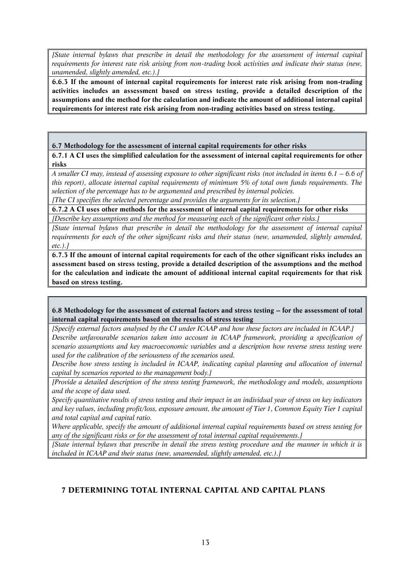*[State internal bylaws that prescribe in detail the methodology for the assessment of internal capital requirements for interest rate risk arising from non-trading book activities and indicate their status (new, unamended, slightly amended, etc.).]*

*6.6.3 If the amount of internal capital requirements for interest rate risk arising from non-trading activities includes an assessment based on stress testing, provide a detailed description of the assumptions and the method for the calculation and indicate the amount of additional internal capital requirements for interest rate risk arising from non-trading activities based on stress testing.*

#### *6.7 Methodology for the assessment of internal capital requirements for other risks*

*6.7.1 A CI uses the simplified calculation for the assessment of internal capital requirements for other risks*

*A smaller CI may, instead of assessing exposure to other significant risks (not included in items 6.1 – 6.6 of this report), allocate internal capital requirements of minimum 5% of total own funds requirements. The selection of the percentage has to be argumented and prescribed by internal policies.*

*[The CI specifies the selected percentage and provides the arguments for its selection.]*

*6.7.2 A CI uses other methods for the assessment of internal capital requirements for other risks*

*[Describe key assumptions and the method for measuring each of the significant other risks.]*

*[State internal bylaws that prescribe in detail the methodology for the assessment of internal capital requirements for each of the other significant risks and their status (new, unamended, slightly amended, etc.).]*

*6.7.3 If the amount of internal capital requirements for each of the other significant risks includes an assessment based on stress testing, provide a detailed description of the assumptions and the method for the calculation and indicate the amount of additional internal capital requirements for that risk based on stress testing.*

6.8 Methodology for the assessment of external factors and stress testing – for the assessment of total *internal capital requirements based on the results of stress testing*

*[Specify external factors analysed by the CI under ICAAP and how these factors are included in ICAAP.] Describe unfavourable scenarios taken into account in ICAAP framework, providing a specification of scenario assumptions and key macroeconomic variables and a description how reverse stress testing were used for the calibration of the seriousness of the scenarios used.* 

*Describe how stress testing is included in ICAAP, indicating capital planning and allocation of internal capital by scenarios reported to the management body.]* 

*[Provide a detailed description of the stress testing framework, the methodology and models, assumptions and the scope of data used.* 

*Specify quantitative results of stress testing and their impact in an individual year of stress on key indicators and key values, including profit/loss, exposure amount, the amount of Tier 1, Common Equity Tier 1 capital and total capital and capital ratio.* 

*Where applicable, specify the amount of additional internal capital requirements based on stress testing for any of the significant risks or for the assessment of total internal capital requirements.]*

*[State internal bylaws that prescribe in detail the stress testing procedure and the manner in which it is included in ICAAP and their status (new, unamended, slightly amended, etc.).]*

# *7 DETERMINING TOTAL INTERNAL CAPITAL AND CAPITAL PLANS*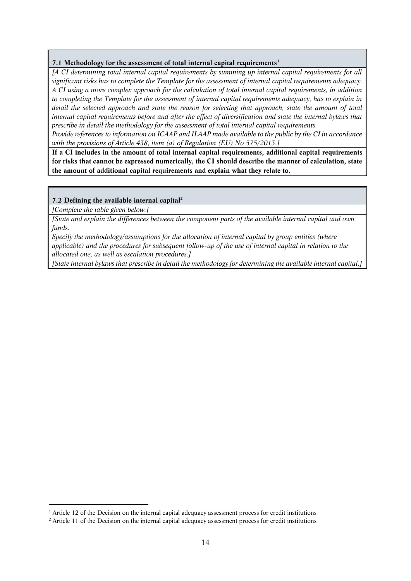#### *7.1 Methodology for the assessment of total internal capital requirements<sup>1</sup>*

*[A CI determining total internal capital requirements by summing up internal capital requirements for all significant risks has to complete the Template for the assessment of internal capital requirements adequacy. A CI using a more complex approach for the calculation of total internal capital requirements, in addition to completing the Template for the assessment of internal capital requirements adequacy, has to explain in detail the selected approach and state the reason for selecting that approach, state the amount of total*  internal capital requirements before and after the effect of diversification and state the internal bylaws that *prescribe in detail the methodology for the assessment of total internal capital requirements.* 

*Provide references to information on ICAAP and ILAAP made available to the public by the CI in accordance with the provisions of Article 438, item (a) of Regulation (EU) No 575/2013.]*

*If a CI includes in the amount of total internal capital requirements, additional capital requirements for risks that cannot be expressed numerically, the CI should describe the manner of calculation, state the amount of additional capital requirements and explain what they relate to.*

#### *7.2 Defining the available internal capital<sup>2</sup>*

*[Complete the table given below.]*

1

*[State and explain the differences between the component parts of the available internal capital and own funds.*

*Specify the methodology/assumptions for the allocation of internal capital by group entities (where applicable) and the procedures for subsequent follow-up of the use of internal capital in relation to the allocated one, as well as escalation procedures.]*

*[State internal bylaws that prescribe in detail the methodology for determining the available internal capital.]*

*<sup>1</sup> Article 12 of the Decision on the internal capital adequacy assessment process for credit institutions*

*<sup>2</sup> Article 11 of the Decision on the internal capital adequacy assessment process for credit institutions*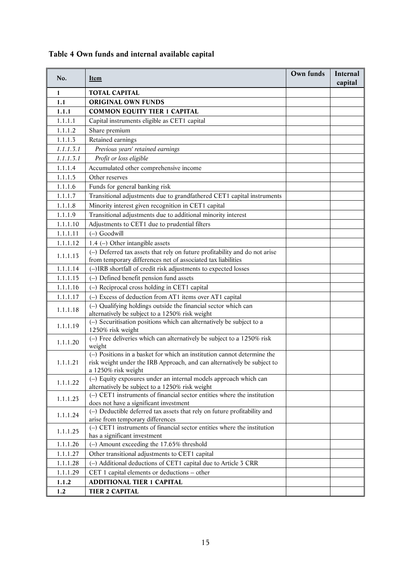|  |  | Table 4 Own funds and internal available capital |  |
|--|--|--------------------------------------------------|--|
|  |  |                                                  |  |

| No.       | <b>I</b> tem                                                                                                        | Own funds | Internal<br>capital |
|-----------|---------------------------------------------------------------------------------------------------------------------|-----------|---------------------|
| 1         | <b>TOTAL CAPITAL</b>                                                                                                |           |                     |
| 1.1       | <b>ORIGINAL OWN FUNDS</b>                                                                                           |           |                     |
| 1.1.1     | <b>COMMON EQUITY TIER 1 CAPITAL</b>                                                                                 |           |                     |
| 1.1.1.1   | Capital instruments eligible as CET1 capital                                                                        |           |                     |
| 1.1.1.2   | Share premium                                                                                                       |           |                     |
| 1.1.1.3   | Retained earnings                                                                                                   |           |                     |
| 1.1.1.3.1 | Previous years' retained earnings                                                                                   |           |                     |
| 1.1.1.3.1 | Profit or loss eligible                                                                                             |           |                     |
| 1.1.1.4   | Accumulated other comprehensive income                                                                              |           |                     |
| 1.1.1.5   | Other reserves                                                                                                      |           |                     |
| 1.1.1.6   | Funds for general banking risk                                                                                      |           |                     |
| 1.1.1.7   | Transitional adjustments due to grandfathered CET1 capital instruments                                              |           |                     |
| 1.1.1.8   | Minority interest given recognition in CET1 capital                                                                 |           |                     |
| 1.1.1.9   | Transitional adjustments due to additional minority interest                                                        |           |                     |
| 1.1.1.10  | Adjustments to CET1 due to prudential filters                                                                       |           |                     |
| 1.1.1.11  | $(-)$ Goodwill                                                                                                      |           |                     |
| 1.1.1.12  | 1.4 (-) Other intangible assets                                                                                     |           |                     |
|           | $(-)$ Deferred tax assets that rely on future profitability and do not arise                                        |           |                     |
| 1.1.1.13  | from temporary differences net of associated tax liabilities                                                        |           |                     |
| 1.1.1.14  | (-)IRB shortfall of credit risk adjustments to expected losses                                                      |           |                     |
| 1.1.1.15  | (-) Defined benefit pension fund assets                                                                             |           |                     |
| 1.1.1.16  | (-) Reciprocal cross holding in CET1 capital                                                                        |           |                     |
| 1.1.1.17  | (-) Excess of deduction from AT1 items over AT1 capital                                                             |           |                     |
| 1.1.1.18  | (-) Qualifying holdings outside the financial sector which can                                                      |           |                     |
|           | alternatively be subject to a 1250% risk weight                                                                     |           |                     |
| 1.1.1.19  | (-) Securitisation positions which can alternatively be subject to a<br>1250% risk weight                           |           |                     |
| 1.1.1.20  | $(-)$ Free deliveries which can alternatively be subject to a 1250% risk<br>weight                                  |           |                     |
|           | $(-)$ Positions in a basket for which an institution cannot determine the                                           |           |                     |
| 1.1.1.21  | risk weight under the IRB Approach, and can alternatively be subject to                                             |           |                     |
|           | a 1250% risk weight                                                                                                 |           |                     |
| 1.1.1.22  | (-) Equity exposures under an internal models approach which can<br>alternatively be subject to a 1250% risk weight |           |                     |
| 1.1.1.23  | $(-)$ CET1 instruments of financial sector entities where the institution                                           |           |                     |
|           | does not have a significant investment<br>(-) Deductible deferred tax assets that rely on future profitability and  |           |                     |
| 1.1.1.24  | arise from temporary differences                                                                                    |           |                     |
| 1.1.1.25  | $(-)$ CET1 instruments of financial sector entities where the institution<br>has a significant investment           |           |                     |
| 1.1.1.26  | $(-)$ Amount exceeding the 17.65% threshold                                                                         |           |                     |
| 1.1.1.27  | Other transitional adjustments to CET1 capital                                                                      |           |                     |
| 1.1.1.28  | (-) Additional deductions of CET1 capital due to Article 3 CRR                                                      |           |                     |
| 1.1.1.29  | CET 1 capital elements or deductions $-$ other                                                                      |           |                     |
| 1.1.2     | <b>ADDITIONAL TIER 1 CAPITAL</b>                                                                                    |           |                     |
| 1.2       | <b>TIER 2 CAPITAL</b>                                                                                               |           |                     |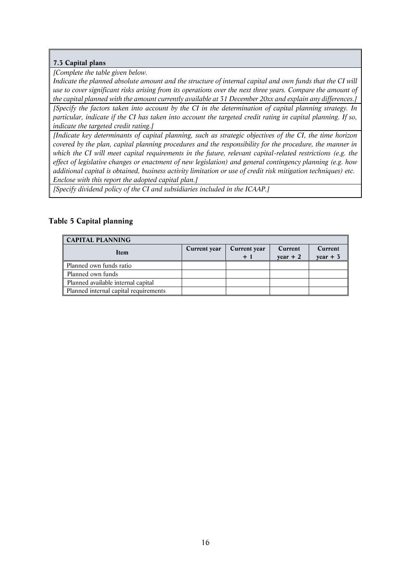## *7.3 Capital plans*

*[Complete the table given below.*

*Indicate the planned absolute amount and the structure of internal capital and own funds that the CI will use to cover significant risks arising from its operations over the next three years. Compare the amount of the capital planned with the amount currently available at 31 December 20xx and explain any differences.]*

*[Specify the factors taken into account by the CI in the determination of capital planning strategy. In particular, indicate if the CI has taken into account the targeted credit rating in capital planning. If so, indicate the targeted credit rating.]*

*[Indicate key determinants of capital planning, such as strategic objectives of the CI, the time horizon covered by the plan, capital planning procedures and the responsibility for the procedure, the manner in which the CI will meet capital requirements in the future, relevant capital-related restrictions (e.g. the effect of legislative changes or enactment of new legislation) and general contingency planning (e.g. how additional capital is obtained, business activity limitation or use of credit risk mitigation techniques) etc. Enclose with this report the adopted capital plan.]*

*[Specify dividend policy of the CI and subsidiaries included in the ICAAP.]*

# *Table 5 Capital planning*

| <b>CAPITAL PLANNING</b>               |              |                     |            |            |
|---------------------------------------|--------------|---------------------|------------|------------|
| Item                                  | Current year | <b>Current year</b> | Current    | Current    |
|                                       |              | $+1$                | $year + 2$ | $year + 3$ |
| Planned own funds ratio               |              |                     |            |            |
| Planned own funds                     |              |                     |            |            |
| Planned available internal capital    |              |                     |            |            |
| Planned internal capital requirements |              |                     |            |            |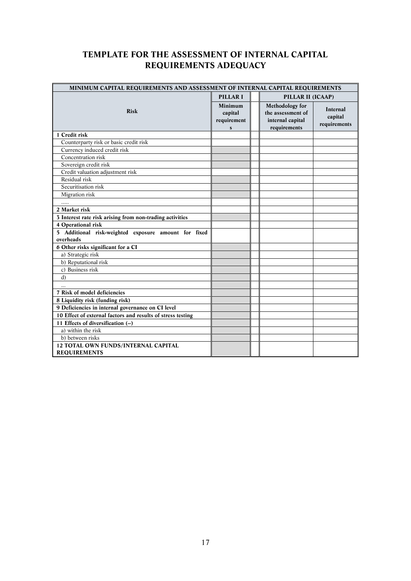# *TEMPLATE FOR THE ASSESSMENT OF INTERNAL CAPITAL REQUIREMENTS ADEQUACY*

| MINIMUM CAPITAL REQUIREMENTS AND ASSESSMENT OF INTERNAL CAPITAL REQUIREMENTS |                                                          |  |                                                                          |                                            |
|------------------------------------------------------------------------------|----------------------------------------------------------|--|--------------------------------------------------------------------------|--------------------------------------------|
|                                                                              | PILLAR I                                                 |  | PILLAR II (ICAAP)                                                        |                                            |
| <b>Risk</b>                                                                  | <b>Minimum</b><br>capital<br>requirement<br>$\mathbf{s}$ |  | Methodology for<br>the assessment of<br>internal capital<br>requirements | <b>Internal</b><br>capital<br>requirements |
| 1 Credit risk                                                                |                                                          |  |                                                                          |                                            |
| Counterparty risk or basic credit risk                                       |                                                          |  |                                                                          |                                            |
| Currency induced credit risk                                                 |                                                          |  |                                                                          |                                            |
| Concentration risk                                                           |                                                          |  |                                                                          |                                            |
| Sovereign credit risk                                                        |                                                          |  |                                                                          |                                            |
| Credit valuation adjustment risk                                             |                                                          |  |                                                                          |                                            |
| Residual risk                                                                |                                                          |  |                                                                          |                                            |
| Securitisation risk                                                          |                                                          |  |                                                                          |                                            |
| Migration risk                                                               |                                                          |  |                                                                          |                                            |
| .                                                                            |                                                          |  |                                                                          |                                            |
| 2 Market risk                                                                |                                                          |  |                                                                          |                                            |
| 3 Interest rate risk arising from non-trading activities                     |                                                          |  |                                                                          |                                            |
| 4 Operational risk                                                           |                                                          |  |                                                                          |                                            |
| 5 Additional risk-weighted exposure amount for fixed                         |                                                          |  |                                                                          |                                            |
| overheads                                                                    |                                                          |  |                                                                          |                                            |
| 6 Other risks significant for a CI                                           |                                                          |  |                                                                          |                                            |
| a) Strategic risk                                                            |                                                          |  |                                                                          |                                            |
| b) Reputational risk                                                         |                                                          |  |                                                                          |                                            |
| c) Business risk                                                             |                                                          |  |                                                                          |                                            |
| d)                                                                           |                                                          |  |                                                                          |                                            |
|                                                                              |                                                          |  |                                                                          |                                            |
| 7 Risk of model deficiencies                                                 |                                                          |  |                                                                          |                                            |
| 8 Liquidity risk (funding risk)                                              |                                                          |  |                                                                          |                                            |
| 9 Deficiencies in internal governance on CI level                            |                                                          |  |                                                                          |                                            |
| 10 Effect of external factors and results of stress testing                  |                                                          |  |                                                                          |                                            |
| 11 Effects of diversification $(-)$                                          |                                                          |  |                                                                          |                                            |
| a) within the risk                                                           |                                                          |  |                                                                          |                                            |
| b) between risks                                                             |                                                          |  |                                                                          |                                            |
| <b>12 TOTAL OWN FUNDS/INTERNAL CAPITAL</b>                                   |                                                          |  |                                                                          |                                            |
| <b>REQUIREMENTS</b>                                                          |                                                          |  |                                                                          |                                            |